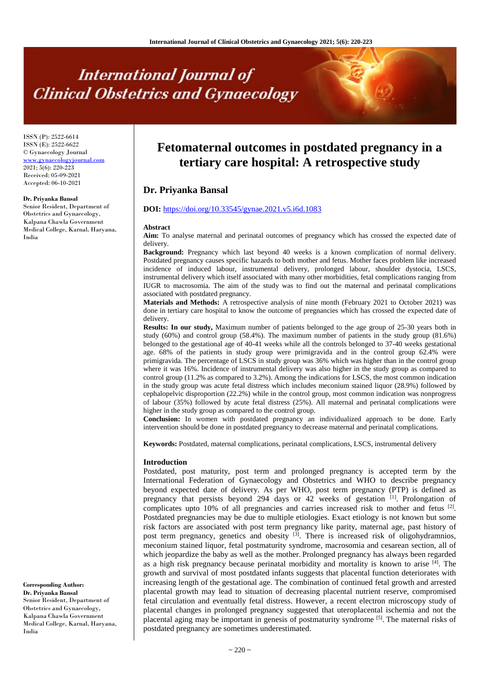# **International Journal of Clinical Obstetrics and Gynaecology**

ISSN (P): 2522-6614 ISSN (E): 2522-6622 © Gynaecology Journal www.gynaecologyjournal.com 2021; 5(6): 220-223 Received: 05-09-2021 Accepted: 06-10-2021

#### **Dr. Priyanka Bansal**

Senior Resident, Department of Obstetrics and Gynaecology, Kalpana Chawla Government Medical College, Karnal, Haryana, India

**Fetomaternal outcomes in postdated pregnancy in a tertiary care hospital: A retrospective study**

# **Dr. Priyanka Bansal**

## **DOI:** <https://doi.org/10.33545/gynae.2021.v5.i6d.1083>

#### **Abstract**

**Aim:** To analyse maternal and perinatal outcomes of pregnancy which has crossed the expected date of delivery.

**Background:** Pregnancy which last beyond 40 weeks is a known complication of normal delivery. Postdated pregnancy causes specific hazards to both mother and fetus. Mother faces problem like increased incidence of induced labour, instrumental delivery, prolonged labour, shoulder dystocia, LSCS, instrumental delivery which itself associated with many other morbidities, fetal complications ranging from IUGR to macrosomia. The aim of the study was to find out the maternal and perinatal complications associated with postdated pregnancy.

**Materials and Methods:** A retrospective analysis of nine month (February 2021 to October 2021) was done in tertiary care hospital to know the outcome of pregnancies which has crossed the expected date of delivery.

**Results: In our study,** Maximum number of patients belonged to the age group of 25-30 years both in study (60%) and control group (58.4%). The maximum number of patients in the study group (81.6%) belonged to the gestational age of 40-41 weeks while all the controls belonged to 37-40 weeks gestational age. 68% of the patients in study group were primigravida and in the control group 62.4% were primigravida. The percentage of LSCS in study group was 36% which was higher than in the control group where it was 16%. Incidence of instrumental delivery was also higher in the study group as compared to control group (11.2% as compared to 3.2%). Among the indications for LSCS, the most common indication in the study group was acute fetal distress which includes meconium stained liquor (28.9%) followed by cephalopelvic disproportion (22.2%) while in the control group, most common indication was nonprogress of labour (35%) followed by acute fetal distress (25%). All maternal and perinatal complications were higher in the study group as compared to the control group.

**Conclusion:** In women with postdated pregnancy an individualized approach to be done. Early intervention should be done in postdated pregnancy to decrease maternal and perinatal complications.

**Keywords:** Postdated, maternal complications, perinatal complications, LSCS, instrumental delivery

#### **Introduction**

Postdated, post maturity, post term and prolonged pregnancy is accepted term by the International Federation of Gynaecology and Obstetrics and WHO to describe pregnancy beyond expected date of delivery. As per WHO, post term pregnancy (PTP) is defined as pregnancy that persists beyond 294 days or 42 weeks of gestation [1]. Prolongation of complicates upto 10% of all pregnancies and carries increased risk to mother and fetus [2]. Postdated pregnancies may be due to multiple etiologies. Exact etiology is not known but some risk factors are associated with post term pregnancy like parity, maternal age, past history of post term pregnancy, genetics and obesity <sup>[3]</sup>. There is increased risk of oligohydramnios, meconium stained liquor, fetal postmaturity syndrome, macrosomia and cesarean section, all of which jeopardize the baby as well as the mother. Prolonged pregnancy has always been regarded as a high risk pregnancy because perinatal morbidity and mortality is known to arise <sup>[4]</sup>. The growth and survival of most postdated infants suggests that placental function deteriorates with increasing length of the gestational age. The combination of continued fetal growth and arrested placental growth may lead to situation of decreasing placental nutrient reserve, compromised fetal circulation and eventually fetal distress. However, a recent electron microscopy study of placental changes in prolonged pregnancy suggested that uteroplacental ischemia and not the placental aging may be important in genesis of postmaturity syndrome [5]. The maternal risks of postdated pregnancy are sometimes underestimated.

**Corresponding Author: Dr. Priyanka Bansal**  Senior Resident, Department of Obstetrics and Gynaecology, Kalpana Chawla Government Medical College, Karnal, Haryana, India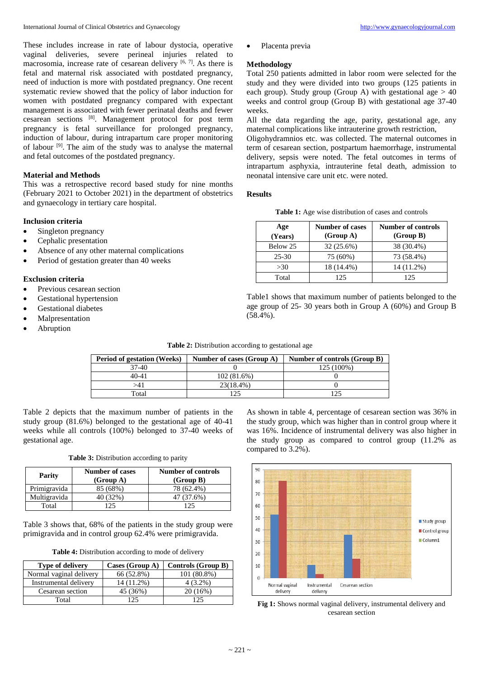These includes increase in rate of labour dystocia, operative vaginal deliveries, severe perineal injuries related to macrosomia, increase rate of cesarean delivery  $[6, 7]$ . As there is fetal and maternal risk associated with postdated pregnancy, need of induction is more with postdated pregnancy. One recent systematic review showed that the policy of labor induction for women with postdated pregnancy compared with expectant management is associated with fewer perinatal deaths and fewer cesarean sections [8] . Management protocol for post term pregnancy is fetal surveillance for prolonged pregnancy, induction of labour, during intrapartum care proper monitoring of labour <sup>[9]</sup>. The aim of the study was to analyse the maternal and fetal outcomes of the postdated pregnancy.

## **Material and Methods**

This was a retrospective record based study for nine months (February 2021 to October 2021) in the department of obstetrics and gynaecology in tertiary care hospital.

## **Inclusion criteria**

- Singleton pregnancy
- Cephalic presentation
- Absence of any other maternal complications
- Period of gestation greater than 40 weeks

## **Exclusion criteria**

- Previous cesarean section
- Gestational hypertension
- Gestational diabetes
- **Malpresentation**
- **Abruption**

Placenta previa

### **Methodology**

Total 250 patients admitted in labor room were selected for the study and they were divided into two groups (125 patients in each group). Study group (Group A) with gestational age  $> 40$ weeks and control group (Group B) with gestational age 37-40 weeks.

All the data regarding the age, parity, gestational age, any maternal complications like intrauterine growth restriction,

Oligohydramnios etc. was collected. The maternal outcomes in term of cesarean section, postpartum haemorrhage, instrumental delivery, sepsis were noted. The fetal outcomes in terms of intrapartum asphyxia, intrauterine fetal death, admission to neonatal intensive care unit etc. were noted.

#### **Results**

| <b>Table 1:</b> Age wise distribution of cases and controls |
|-------------------------------------------------------------|
|                                                             |

| Age<br>(Years) | <b>Number of cases</b><br>(Group A) | <b>Number of controls</b><br>(Group B) |
|----------------|-------------------------------------|----------------------------------------|
| Below 25       | 32 (25.6%)                          | 38 (30.4%)                             |
| $25 - 30$      | 75 (60%)                            | 73 (58.4%)                             |
| >30            | 18 (14.4%)                          | 14 (11.2%)                             |
| Total          | 125                                 | 125                                    |

Table1 shows that maximum number of patients belonged to the age group of 25- 30 years both in Group A (60%) and Group B  $(58.4\%)$ .

| <b>Period of gestation (Weeks)</b> | Number of cases (Group A) | Number of controls (Group B) |
|------------------------------------|---------------------------|------------------------------|
| $37-40$                            |                           | 125 (100%)                   |
| 40-41                              | 102(81.6%)                |                              |
| -41                                | $23(18.4\%)$              |                              |
| Total                              | 125                       |                              |

Table 2 depicts that the maximum number of patients in the study group (81.6%) belonged to the gestational age of 40-41 weeks while all controls (100%) belonged to 37-40 weeks of gestational age.

Table 3: Distribution according to parity

| Parity       | <b>Number of cases</b><br>(Group A) | <b>Number of controls</b><br>(Group B) |
|--------------|-------------------------------------|----------------------------------------|
| Primigravida | 85 (68%)                            | 78 (62.4%)                             |
| Multigravida | 40 (32%)                            | 47 (37.6%)                             |
| Total        |                                     | 125                                    |

Table 3 shows that, 68% of the patients in the study group were primigravida and in control group 62.4% were primigravida.

**Table 4:** Distribution according to mode of delivery

| <b>Type of delivery</b> | Cases (Group A) | Controls (Group B) |
|-------------------------|-----------------|--------------------|
| Normal vaginal delivery | 66 (52.8%)      | 101 (80.8%)        |
| Instrumental delivery   | 14 (11.2%)      | $4(3.2\%)$         |
| Cesarean section        | 45 (36%)        | 20 (16%)           |
| Total                   |                 | 125                |

As shown in table 4, percentage of cesarean section was 36% in the study group, which was higher than in control group where it was 16%. Incidence of instrumental delivery was also higher in the study group as compared to control group (11.2% as compared to 3.2%).



**Fig 1:** Shows normal vaginal delivery, instrumental delivery and cesarean section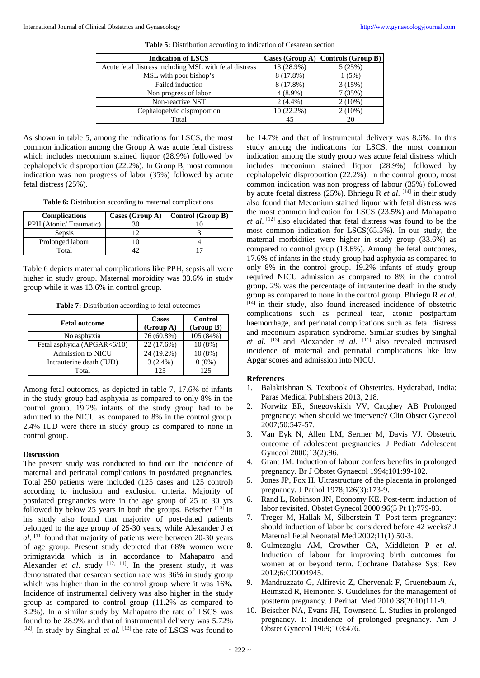| <b>Indication of LSCS</b>                              |              | Cases $(Group A)   Controls (Group B)$ |
|--------------------------------------------------------|--------------|----------------------------------------|
| Acute fetal distress including MSL with fetal distress | 13 (28.9%)   | 5(25%)                                 |
| MSL with poor bishop's                                 | 8 (17.8%)    | 1(5%)                                  |
| Failed induction                                       | 8 (17.8%)    | 3(15%)                                 |
| Non progress of labor                                  | $4(8.9\%)$   | 7(35%)                                 |
| Non-reactive NST                                       | $2(4.4\%)$   | $2(10\%)$                              |
| Cephalopelvic disproportion                            | $10(22.2\%)$ | $2(10\%)$                              |
| Total                                                  | 45           | 20                                     |

**Table 5:** Distribution according to indication of Cesarean section

As shown in table 5, among the indications for LSCS, the most common indication among the Group A was acute fetal distress which includes meconium stained liquor (28.9%) followed by cephalopelvic disproportion (22.2%). In Group B, most common indication was non progress of labor (35%) followed by acute fetal distress (25%).

Table 6: Distribution according to maternal complications

| <b>Complications</b>   | Cases (Group A) | Control (Group B) |
|------------------------|-----------------|-------------------|
| PPH (Atonic/Traumatic) |                 |                   |
| Sepsis                 |                 |                   |
| Prolonged labour       |                 |                   |
| Total                  |                 |                   |

Table 6 depicts maternal complications like PPH, sepsis all were higher in study group. Maternal morbidity was 33.6% in study group while it was 13.6% in control group.

**Table 7:** Distribution according to fetal outcomes

| <b>Fetal outcome</b>        | <b>Cases</b><br>(Group A) | <b>Control</b><br>(Group B) |
|-----------------------------|---------------------------|-----------------------------|
| No asphyxia                 | 76 (60.8%)                | 105 (84%)                   |
| Fetal asphyxia (APGAR<6/10) | 22 (17.6%)                | $10(8\%)$                   |
| <b>Admission to NICU</b>    | 24 (19.2%)                | $10(8\%)$                   |
| Intrauterine death (IUD)    | $3(2.4\%)$                | $0(0\%)$                    |
| Total                       | 125                       | 125                         |

Among fetal outcomes, as depicted in table 7, 17.6% of infants in the study group had asphyxia as compared to only 8% in the control group. 19.2% infants of the study group had to be admitted to the NICU as compared to 8% in the control group. 2.4% IUD were there in study group as compared to none in control group.

### **Discussion**

The present study was conducted to find out the incidence of maternal and perinatal complications in postdated pregnancies. Total 250 patients were included (125 cases and 125 control) according to inclusion and exclusion criteria. Majority of postdated pregnancies were in the age group of 25 to 30 yrs followed by below 25 years in both the groups. Beischer  $[10]$  in his study also found that majority of post-dated patients belonged to the age group of 25-30 years, while Alexander J *et al*. [11] found that majority of patients were between 20-30 years of age group. Present study depicted that 68% women were primigravida which is in accordance to Mahapatro and Alexander *et al.* study  $[12, 11]$ . In the present study, it was demonstrated that cesarean section rate was 36% in study group which was higher than in the control group where it was 16%. Incidence of instrumental delivery was also higher in the study group as compared to control group (11.2% as compared to 3.2%). In a similar study by Mahapatro the rate of LSCS was found to be 28.9% and that of instrumental delivery was 5.72% [12]. In study by Singhal *et al.* [13] the rate of LSCS was found to be 14.7% and that of instrumental delivery was 8.6%. In this study among the indications for LSCS, the most common indication among the study group was acute fetal distress which includes meconium stained liquor (28.9%) followed by cephalopelvic disproportion (22.2%). In the control group, most common indication was non progress of labour (35%) followed by acute foetal distress (25%). Bhriegu R *et al*. [14] in their study also found that Meconium stained liquor with fetal distress was the most common indication for LSCS (23.5%) and Mahapatro *et al*. [12] also elucidated that fetal distress was found to be the most common indication for LSCS(65.5%). In our study, the maternal morbidities were higher in study group (33.6%) as compared to control group (13.6%). Among the fetal outcomes, 17.6% of infants in the study group had asphyxia as compared to only 8% in the control group. 19.2% infants of study group required NICU admission as compared to 8% in the control group. 2% was the percentage of intrauterine death in the study group as compared to none in the control group. Bhriegu R *et al*. [14] in their study, also found increased incidence of obstetric complications such as perineal tear, atonic postpartum haemorrhage, and perinatal complications such as fetal distress and meconium aspiration syndrome. Similar studies by Singhal *et al*. [13] and Alexander *et al*. [11] also revealed increased incidence of maternal and perinatal complications like low Apgar scores and admission into NICU.

#### **References**

- 1. Balakrishnan S. Textbook of Obstetrics. Hyderabad, India: Paras Medical Publishers 2013, 218.
- 2. Norwitz ER, Snegovskikh VV, Caughey AB Prolonged pregnancy: when should we intervene? Clin Obstet Gynecol 2007;50:547-57.
- 3. Van Eyk N, Allen LM, Sermer M, Davis VJ. Obstetric outcome of adolescent pregnancies. J Pediatr Adolescent Gynecol 2000;13(2):96.
- 4. Grant JM. Induction of labour confers benefits in prolonged pregnancy. Br J Obstet Gynaecol 1994;101:99-102.
- 5. Jones JP, Fox H. Ultrastructure of the placenta in prolonged pregnancy. J Pathol 1978;126(3):173-9.
- 6. Rand L, Robinson JN, Economy KE. Post-term induction of labor revisited. Obstet Gynecol 2000;96(5 Pt 1):779-83.
- 7. Treger M, Hallak M, Silberstein T. Post-term pregnancy: should induction of labor be considered before 42 weeks? J Maternal Fetal Neonatal Med 2002;11(1):50-3.
- 8. Gulmezoglu AM, Crowther CA, Middleton P *et al*. Induction of labour for improving birth outcomes for women at or beyond term. Cochrane Database Syst Rev 2012;6:CD004945.
- 9. Mandruzzato G, Alfirevic Z, Chervenak F, Gruenebaum A, Heimstad R, Heinonen S. Guidelines for the management of postterm pregnancy. J Perinat. Med 2010:38(2010)111-9.
- 10. Beischer NA, Evans JH, Townsend L. Studies in prolonged pregnancy. I: Incidence of prolonged pregnancy. Am J Obstet Gynecol 1969;103:476.